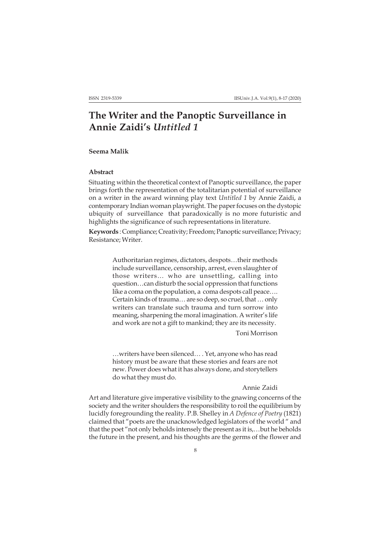# **The Writer and the Panoptic Surveillance in Annie Zaidi's** *Untitled 1*

## **Seema Malik**

## **Abstract**

Situating within the theoretical context of Panoptic surveillance, the paper brings forth the representation of the totalitarian potential of surveillance on a writer in the award winning play text *Untitled 1* by Annie Zaidi, a contemporary Indian woman playwright. The paper focuses on the dystopic ubiquity of surveillance that paradoxically is no more futuristic and highlights the significance of such representations in literature.

**Keywords** : Compliance; Creativity; Freedom; Panoptic surveillance; Privacy; Resistance; Writer.

> Authoritarian regimes, dictators, despots…their methods include surveillance, censorship, arrest, even slaughter of those writers… who are unsettling, calling into question…can disturb the social oppression that functions like a coma on the population, a coma despots call peace…. Certain kinds of trauma… are so deep, so cruel, that … only writers can translate such trauma and turn sorrow into meaning, sharpening the moral imagination. A writer's life and work are not a gift to mankind; they are its necessity.

> > Toni Morrison

…writers have been silenced… . Yet, anyone who has read history must be aware that these stories and fears are not new. Power does what it has always done, and storytellers do what they must do.

#### Annie Zaidi

Art and literature give imperative visibility to the gnawing concerns of the society and the writer shoulders the responsibility to roil the equilibrium by lucidly foregrounding the reality. P.B. Shelley in *A Defence of Poetry* (1821) claimed that "poets are the unacknowledged legislators of the world " and that the poet "not only beholds intensely the present as it is,…but he beholds the future in the present, and his thoughts are the germs of the flower and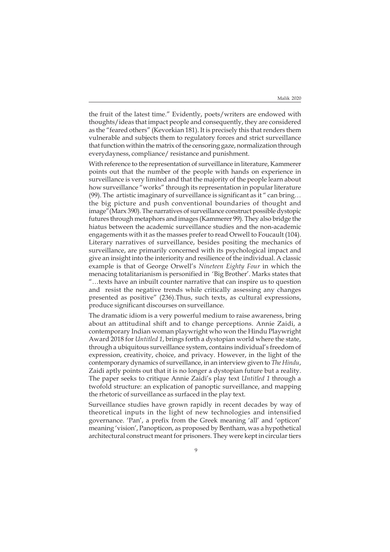the fruit of the latest time." Evidently, poets/writers are endowed with thoughts/ideas that impact people and consequently, they are considered as the "feared others" (Kevorkian 181). It is precisely this that renders them vulnerable and subjects them to regulatory forces and strict surveillance that function within the matrix of the censoring gaze, normalization through everydayness, compliance/ resistance and punishment.

With reference to the representation of surveillance in literature, Kammerer points out that the number of the people with hands on experience in surveillance is very limited and that the majority of the people learn about how surveillance "works" through its representation in popular literature (99). The artistic imaginary of surveillance is significant as it " can bring… the big picture and push conventional boundaries of thought and image"(Marx 390). The narratives of surveillance construct possible dystopic futures through metaphors and images (Kammerer 99). They also bridge the hiatus between the academic surveillance studies and the non-academic engagements with it as the masses prefer to read Orwell to Foucault (104). Literary narratives of surveillance, besides positing the mechanics of surveillance, are primarily concerned with its psychological impact and give an insight into the interiority and resilience of the individual. A classic example is that of George Orwell's *Nineteen Eighty Four* in which the menacing totalitarianism is personified in 'Big Brother'. Marks states that "…texts have an inbuilt counter narrative that can inspire us to question and resist the negative trends while critically assessing any changes presented as positive" (236).Thus, such texts, as cultural expressions, produce significant discourses on surveillance.

The dramatic idiom is a very powerful medium to raise awareness, bring about an attitudinal shift and to change perceptions. Annie Zaidi, a contemporary Indian woman playwright who won the Hindu Playwright Award 2018 for *Untitled 1*, brings forth a dystopian world where the state, through a ubiquitous surveillance system, contains individual's freedom of expression, creativity, choice, and privacy. However, in the light of the contemporary dynamics of surveillance, in an interview given to *The Hindu*, Zaidi aptly points out that it is no longer a dystopian future but a reality. The paper seeks to critique Annie Zaidi's play text *Untitled 1* through a twofold structure: an explication of panoptic surveillance, and mapping the rhetoric of surveillance as surfaced in the play text.

Surveillance studies have grown rapidly in recent decades by way of theoretical inputs in the light of new technologies and intensified governance. 'Pan', a prefix from the Greek meaning 'all' and 'opticon' meaning 'vision', Panopticon, as proposed by Bentham, was a hypothetical architectural construct meant for prisoners. They were kept in circular tiers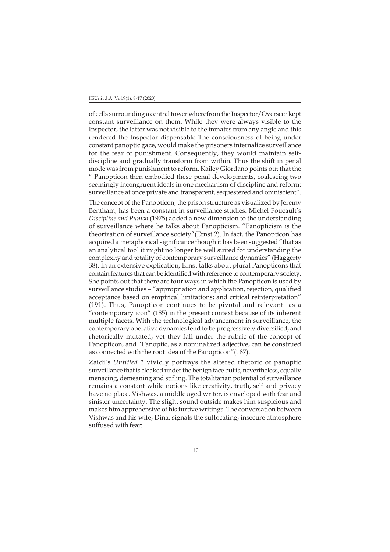of cells surrounding a central tower wherefrom the Inspector/Overseer kept constant surveillance on them. While they were always visible to the Inspector, the latter was not visible to the inmates from any angle and this rendered the Inspector dispensable The consciousness of being under constant panoptic gaze, would make the prisoners internalize surveillance for the fear of punishment. Consequently, they would maintain selfdiscipline and gradually transform from within. Thus the shift in penal mode was from punishment to reform. Kailey Giordano points out that the " Panopticon then embodied these penal developments, coalescing two seemingly incongruent ideals in one mechanism of discipline and reform: surveillance at once private and transparent, sequestered and omniscient".

The concept of the Panopticon, the prison structure as visualized by Jeremy Bentham, has been a constant in surveillance studies. Michel Foucault's *Discipline and Punish* (1975) added a new dimension to the understanding of surveillance where he talks about Panopticism. "Panopticism is the theorization of surveillance society"(Ernst 2). In fact, the Panopticon has acquired a metaphorical significance though it has been suggested "that as an analytical tool it might no longer be well suited for understanding the complexity and totality of contemporary surveillance dynamics" (Haggerty 38). In an extensive explication, Ernst talks about plural Panopticons that contain features that can be identified with reference to contemporary society. She points out that there are four ways in which the Panopticon is used by surveillance studies – "appropriation and application, rejection, qualified acceptance based on empirical limitations; and critical reinterpretation" (191). Thus, Panopticon continues to be pivotal and relevant as a "contemporary icon" (185) in the present context because of its inherent multiple facets. With the technological advancement in surveillance, the contemporary operative dynamics tend to be progressively diversified, and rhetorically mutated, yet they fall under the rubric of the concept of Panopticon, and "Panoptic, as a nominalized adjective, can be construed as connected with the root idea of the Panopticon"(187).

Zaidi's *Untitled 1* vividly portrays the altered rhetoric of panoptic surveillance that is cloaked under the benign face but is, nevertheless, equally menacing, demeaning and stifling. The totalitarian potential of surveillance remains a constant while notions like creativity, truth, self and privacy have no place. Vishwas, a middle aged writer, is enveloped with fear and sinister uncertainty. The slight sound outside makes him suspicious and makes him apprehensive of his furtive writings. The conversation between Vishwas and his wife, Dina, signals the suffocating, insecure atmosphere suffused with fear: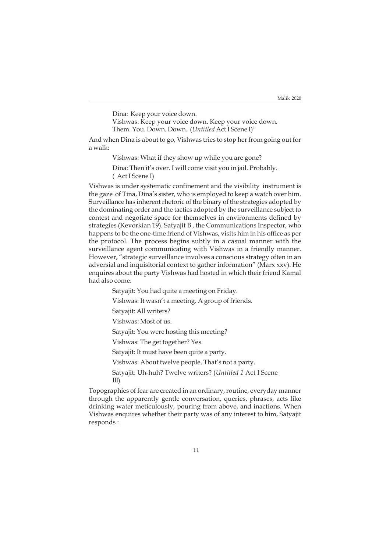Dina: Keep your voice down.

Vishwas: Keep your voice down. Keep your voice down. Them. You. Down. Down. (*Untitled* Act I Scene I)1

And when Dina is about to go, Vishwas tries to stop her from going out for a walk:

> Vishwas: What if they show up while you are gone? Dina: Then it's over. I will come visit you in jail. Probably. ( Act I Scene I)

Vishwas is under systematic confinement and the visibility instrument is the gaze of Tina, Dina's sister, who is employed to keep a watch over him. Surveillance has inherent rhetoric of the binary of the strategies adopted by the dominating order and the tactics adopted by the surveillance subject to contest and negotiate space for themselves in environments defined by strategies (Kevorkian 19). Satyajit B , the Communications Inspector, who happens to be the one-time friend of Vishwas, visits him in his office as per the protocol. The process begins subtly in a casual manner with the surveillance agent communicating with Vishwas in a friendly manner. However, "strategic surveillance involves a conscious strategy often in an adversial and inquisitorial context to gather information" (Marx xxv). He enquires about the party Vishwas had hosted in which their friend Kamal had also come:

Satyajit: You had quite a meeting on Friday.

Vishwas: It wasn't a meeting. A group of friends.

Satyajit: All writers?

Vishwas: Most of us.

Satyajit: You were hosting this meeting?

Vishwas: The get together? Yes.

Satyajit: It must have been quite a party.

Vishwas: About twelve people. That's not a party.

Satyajit: Uh-huh? Twelve writers? (*Untitled 1* Act I Scene III)

Topographies of fear are created in an ordinary, routine, everyday manner through the apparently gentle conversation, queries, phrases, acts like drinking water meticulously, pouring from above, and inactions. When Vishwas enquires whether their party was of any interest to him, Satyajit responds :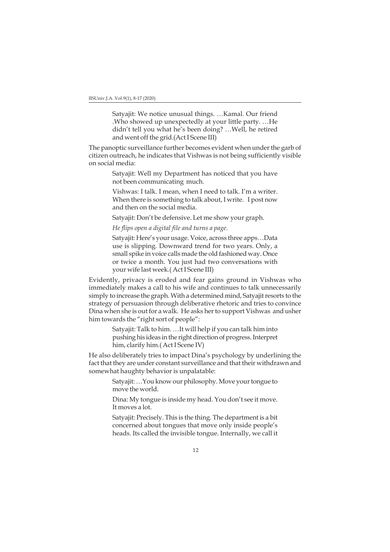Satyajit: We notice unusual things. …Kamal. Our friend .Who showed up unexpectedly at your little party. …He didn't tell you what he's been doing? …Well, he retired and went off the grid.(Act I Scene III)

The panoptic surveillance further becomes evident when under the garb of citizen outreach, he indicates that Vishwas is not being sufficiently visible on social media:

> Satyajit: Well my Department has noticed that you have not been communicating much.

> Vishwas: I talk. I mean, when I need to talk. I'm a writer. When there is something to talk about, I write. I post now and then on the social media.

Satyajit: Don't be defensive. Let me show your graph.

*He flips open a digital file and turns a page.*

Satyajit: Here's your usage. Voice, across three apps…Data use is slipping. Downward trend for two years. Only, a small spike in voice calls made the old fashioned way. Once or twice a month. You just had two conversations with your wife last week.( Act I Scene III)

Evidently, privacy is eroded and fear gains ground in Vishwas who immediately makes a call to his wife and continues to talk unnecessarily simply to increase the graph. With a determined mind, Satyajit resorts to the strategy of persuasion through deliberative rhetoric and tries to convince Dina when she is out for a walk. He asks her to support Vishwas and usher him towards the "right sort of people":

> Satyajit: Talk to him. …It will help if you can talk him into pushing his ideas in the right direction of progress. Interpret him, clarify him.( Act I Scene IV)

He also deliberately tries to impact Dina's psychology by underlining the fact that they are under constant surveillance and that their withdrawn and somewhat haughty behavior is unpalatable:

> Satyajit: …You know our philosophy. Move your tongue to move the world.

> Dina: My tongue is inside my head. You don't see it move. It moves a lot.

> Satyajit: Precisely. This is the thing. The department is a bit concerned about tongues that move only inside people's heads. Its called the invisible tongue. Internally, we call it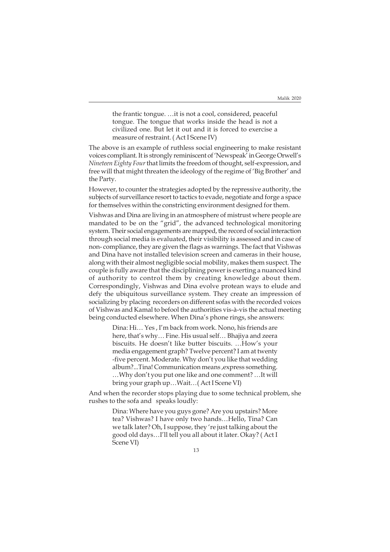the frantic tongue. …it is not a cool, considered, peaceful tongue. The tongue that works inside the head is not a civilized one. But let it out and it is forced to exercise a measure of restraint. ( Act I Scene IV)

The above is an example of ruthless social engineering to make resistant voices compliant. It is strongly reminiscent of 'Newspeak' in George Orwell's *Nineteen Eighty Four* that limits the freedom of thought, self-expression, and free will that might threaten the ideology of the regime of 'Big Brother' and the Party.

However, to counter the strategies adopted by the repressive authority, the subjects of surveillance resort to tactics to evade, negotiate and forge a space for themselves within the constricting environment designed for them.

Vishwas and Dina are living in an atmosphere of mistrust where people are mandated to be on the "grid", the advanced technological monitoring system. Their social engagements are mapped, the record of social interaction through social media is evaluated, their visibility is assessed and in case of non- compliance, they are given the flags as warnings. The fact that Vishwas and Dina have not installed television screen and cameras in their house, along with their almost negligible social mobility, makes them suspect. The couple is fully aware that the disciplining power is exerting a nuanced kind of authority to control them by creating knowledge about them. Correspondingly, Vishwas and Dina evolve protean ways to elude and defy the ubiquitous surveillance system. They create an impression of socializing by placing recorders on different sofas with the recorded voices of Vishwas and Kamal to befool the authorities vis-à-vis the actual meeting being conducted elsewhere. When Dina's phone rings, she answers:

> Dina: Hi… Yes , I'm back from work. Nono, his friends are here, that's why… Fine. His usual self… Bhajiya and zeera biscuits. He doesn't like butter biscuits. …How's your media engagement graph? Twelve percent? I am at twenty -five percent. Moderate. Why don't you like that wedding album?...Tina! Communication means ,express something. …Why don't you put one like and one comment? …It will bring your graph up…Wait…( Act I Scene VI)

And when the recorder stops playing due to some technical problem, she rushes to the sofa and speaks loudly:

> Dina: Where have you guys gone? Are you upstairs? More tea? Vishwas? I have only two hands…Hello, Tina? Can we talk later? Oh, I suppose, they 're just talking about the good old days…I'll tell you all about it later. Okay? ( Act I Scene VI)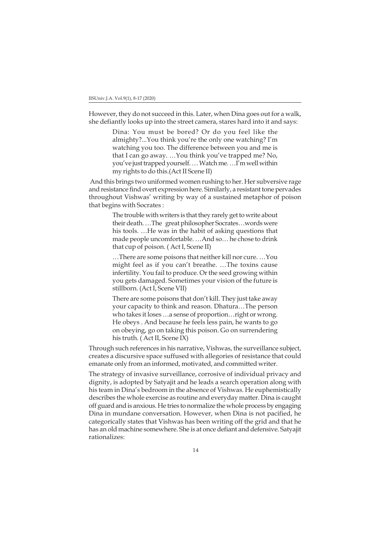However, they do not succeed in this. Later, when Dina goes out for a walk, she defiantly looks up into the street camera, stares hard into it and says:

> Dina: You must be bored? Or do you feel like the almighty?...You think you're the only one watching? I'm watching you too. The difference between you and me is that I can go away. …You think you've trapped me? No, you've just trapped yourself. … Watch me. …I'm well within my rights to do this.(Act II Scene II)

 And this brings two uniformed women rushing to her. Her subversive rage and resistance find overt expression here. Similarly, a resistant tone pervades throughout Vishwas' writing by way of a sustained metaphor of poison that begins with Socrates :

> The trouble with writers is that they rarely get to write about their death. …The great philosopher Socrates…words were his tools. …He was in the habit of asking questions that made people uncomfortable. …And so… he chose to drink that cup of poison. ( Act I, Scene II)

> …There are some poisons that neither kill nor cure. …You might feel as if you can't breathe. …The toxins cause infertility. You fail to produce. Or the seed growing within you gets damaged. Sometimes your vision of the future is stillborn. (Act I, Scene VII)

> There are some poisons that don't kill. They just take away your capacity to think and reason. Dhatura…The person who takes it loses …a sense of proportion…right or wrong. He obeys . And because he feels less pain, he wants to go on obeying, go on taking this poison. Go on surrendering his truth. ( Act II, Scene IX)

Through such references in his narrative, Vishwas, the surveillance subject, creates a discursive space suffused with allegories of resistance that could emanate only from an informed, motivated, and committed writer.

The strategy of invasive surveillance, corrosive of individual privacy and dignity, is adopted by Satyajit and he leads a search operation along with his team in Dina's bedroom in the absence of Vishwas. He euphemistically describes the whole exercise as routine and everyday matter. Dina is caught off guard and is anxious. He tries to normalize the whole process by engaging Dina in mundane conversation. However, when Dina is not pacified, he categorically states that Vishwas has been writing off the grid and that he has an old machine somewhere. She is at once defiant and defensive. Satyajit rationalizes: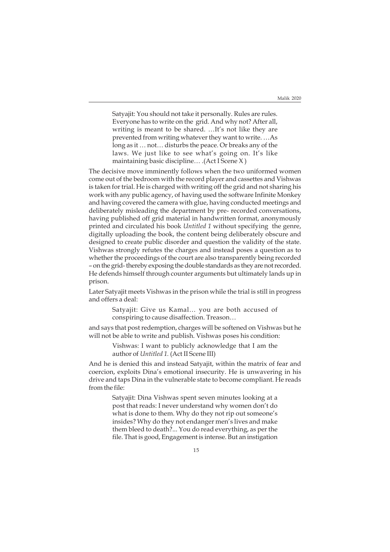Satyajit: You should not take it personally. Rules are rules. Everyone has to write on the grid. And why not? After all, writing is meant to be shared. …It's not like they are prevented from writing whatever they want to write. …As long as it … not… disturbs the peace. Or breaks any of the laws. We just like to see what's going on. It's like maintaining basic discipline... . (Act I Scene X)

The decisive move imminently follows when the two uniformed women come out of the bedroom with the record player and cassettes and Vishwas is taken for trial. He is charged with writing off the grid and not sharing his work with any public agency, of having used the software Infinite Monkey and having covered the camera with glue, having conducted meetings and deliberately misleading the department by pre- recorded conversations, having published off grid material in handwritten format, anonymously printed and circulated his book *Untitled 1* without specifying the genre, digitally uploading the book, the content being deliberately obscure and designed to create public disorder and question the validity of the state. Vishwas strongly refutes the charges and instead poses a question as to whether the proceedings of the court are also transparently being recorded – on the grid- thereby exposing the double standards as they are not recorded. He defends himself through counter arguments but ultimately lands up in prison.

Later Satyajit meets Vishwas in the prison while the trial is still in progress and offers a deal:

> Satyajit: Give us Kamal… you are both accused of conspiring to cause disaffection. Treason…

and says that post redemption, charges will be softened on Vishwas but he will not be able to write and publish. Vishwas poses his condition:

> Vishwas: I want to publicly acknowledge that I am the author of *Untitled 1.* (Act II Scene III)

And he is denied this and instead Satyajit, within the matrix of fear and coercion, exploits Dina's emotional insecurity. He is unwavering in his drive and taps Dina in the vulnerable state to become compliant. He reads from the file:

> Satyajit: Dina Vishwas spent seven minutes looking at a post that reads: I never understand why women don't do what is done to them. Why do they not rip out someone's insides? Why do they not endanger men's lives and make them bleed to death?... You do read everything, as per the file. That is good, Engagement is intense. But an instigation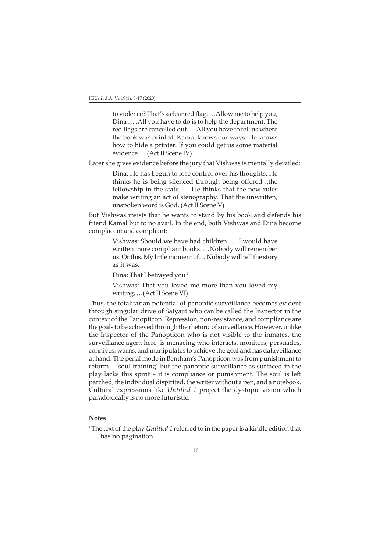to violence? That's a clear red flag. …Allow me to help you, Dina … .All you have to do is to help the department. The red flags are cancelled out. …All you have to tell us where the book was printed. Kamal knows our ways. He knows how to hide a printer. If you could get us some material evidence… .(Act II Scene IV)

Later she gives evidence before the jury that Vishwas is mentally derailed:

Dina: He has begun to lose control over his thoughts. He thinks he is being silenced through being offered ..the fellowship in the state. … He thinks that the new rules make writing an act of stenography. That the unwritten, unspoken word is God. (Act II Scene V)

But Vishwas insists that he wants to stand by his book and defends his friend Kamal but to no avail. In the end, both Vishwas and Dina become complacent and compliant:

> Vishwas: Should we have had children… . I would have written more compliant books. …Nobody will remember us. Or this. My little moment of… Nobody will tell the story as it was.

Dina: That I betrayed you?

Vishwas: That you loved me more than you loved my writing. …(Act II Scene VI)

Thus, the totalitarian potential of panoptic surveillance becomes evident through singular drive of Satyajit who can be called the Inspector in the context of the Panopticon. Repression, non-resistance, and compliance are the goals to be achieved through the rhetoric of surveillance. However, unlike the Inspector of the Panopticon who is not visible to the inmates, the surveillance agent here is menacing who interacts, monitors, persuades, connives, warns, and manipulates to achieve the goal and has dataveillance at hand. The penal mode in Bentham's Panopticon was from punishment to reform – 'soul training' but the panoptic surveillance as surfaced in the play lacks this spirit – it is compliance or punishment. The soul is left parched, the individual dispirited, the writer without a pen, and a notebook. Cultural expressions like *Untitled 1* project the dystopic vision which paradoxically is no more futuristic.

## **Notes**

1 The text of the play *Untitled 1* referred to in the paper is a kindle edition that has no pagination.